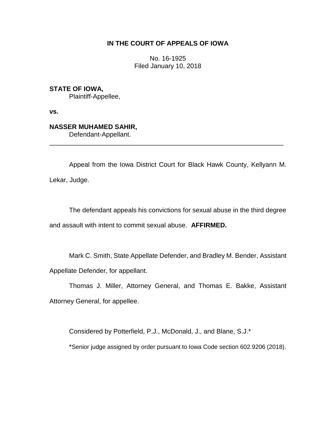## **IN THE COURT OF APPEALS OF IOWA**

No. 16-1925 Filed January 10, 2018

**STATE OF IOWA,**

Plaintiff-Appellee,

**vs.**

# **NASSER MUHAMED SAHIR,**

Defendant-Appellant.

Appeal from the Iowa District Court for Black Hawk County, Kellyann M. Lekar, Judge.

\_\_\_\_\_\_\_\_\_\_\_\_\_\_\_\_\_\_\_\_\_\_\_\_\_\_\_\_\_\_\_\_\_\_\_\_\_\_\_\_\_\_\_\_\_\_\_\_\_\_\_\_\_\_\_\_\_\_\_\_\_\_\_\_

The defendant appeals his convictions for sexual abuse in the third degree and assault with intent to commit sexual abuse. **AFFIRMED.**

Mark C. Smith, State Appellate Defender, and Bradley M. Bender, Assistant Appellate Defender, for appellant.

Thomas J. Miller, Attorney General, and Thomas E. Bakke, Assistant Attorney General, for appellee.

Considered by Potterfield, P.J., McDonald, J., and Blane, S.J.\*

\*Senior judge assigned by order pursuant to Iowa Code section 602.9206 (2018).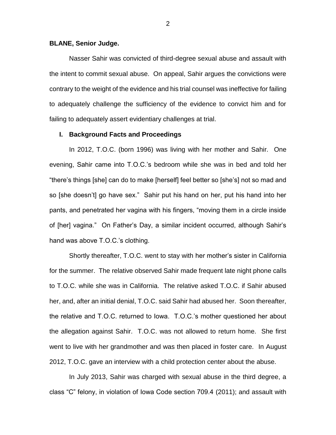### **BLANE, Senior Judge.**

Nasser Sahir was convicted of third-degree sexual abuse and assault with the intent to commit sexual abuse. On appeal, Sahir argues the convictions were contrary to the weight of the evidence and his trial counsel was ineffective for failing to adequately challenge the sufficiency of the evidence to convict him and for failing to adequately assert evidentiary challenges at trial.

## **I. Background Facts and Proceedings**

In 2012, T.O.C. (born 1996) was living with her mother and Sahir. One evening, Sahir came into T.O.C.'s bedroom while she was in bed and told her "there's things [she] can do to make [herself] feel better so [she's] not so mad and so [she doesn't] go have sex." Sahir put his hand on her, put his hand into her pants, and penetrated her vagina with his fingers, "moving them in a circle inside of [her] vagina." On Father's Day, a similar incident occurred, although Sahir's hand was above T.O.C.'s clothing.

Shortly thereafter, T.O.C. went to stay with her mother's sister in California for the summer. The relative observed Sahir made frequent late night phone calls to T.O.C. while she was in California. The relative asked T.O.C. if Sahir abused her, and, after an initial denial, T.O.C. said Sahir had abused her. Soon thereafter, the relative and T.O.C. returned to Iowa. T.O.C.'s mother questioned her about the allegation against Sahir. T.O.C. was not allowed to return home. She first went to live with her grandmother and was then placed in foster care. In August 2012, T.O.C. gave an interview with a child protection center about the abuse.

In July 2013, Sahir was charged with sexual abuse in the third degree, a class "C" felony, in violation of Iowa Code section 709.4 (2011); and assault with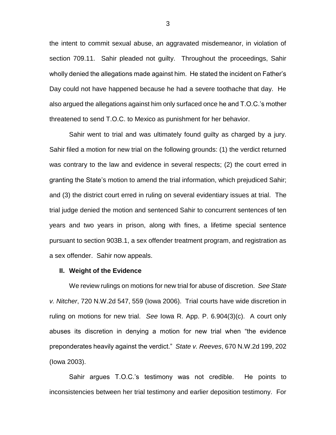the intent to commit sexual abuse, an aggravated misdemeanor, in violation of section 709.11. Sahir pleaded not guilty. Throughout the proceedings, Sahir wholly denied the allegations made against him. He stated the incident on Father's Day could not have happened because he had a severe toothache that day. He also argued the allegations against him only surfaced once he and T.O.C.'s mother threatened to send T.O.C. to Mexico as punishment for her behavior.

Sahir went to trial and was ultimately found guilty as charged by a jury. Sahir filed a motion for new trial on the following grounds: (1) the verdict returned was contrary to the law and evidence in several respects; (2) the court erred in granting the State's motion to amend the trial information, which prejudiced Sahir; and (3) the district court erred in ruling on several evidentiary issues at trial. The trial judge denied the motion and sentenced Sahir to concurrent sentences of ten years and two years in prison, along with fines, a lifetime special sentence pursuant to section 903B.1, a sex offender treatment program, and registration as a sex offender. Sahir now appeals.

#### **II. Weight of the Evidence**

We review rulings on motions for new trial for abuse of discretion. *See State v. Nitcher*, 720 N.W.2d 547, 559 (Iowa 2006). Trial courts have wide discretion in ruling on motions for new trial. *See* Iowa R. App. P. 6.904(3)(c). A court only abuses its discretion in denying a motion for new trial when "the evidence preponderates heavily against the verdict." *State v. Reeves*, 670 N.W.2d 199, 202 (Iowa 2003).

Sahir argues T.O.C.'s testimony was not credible. He points to inconsistencies between her trial testimony and earlier deposition testimony. For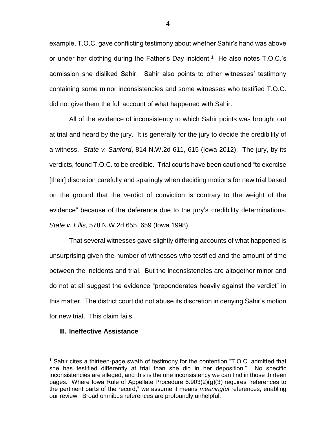example, T.O.C. gave conflicting testimony about whether Sahir's hand was above or under her clothing during the Father's Day incident.<sup>1</sup> He also notes T.O.C.'s admission she disliked Sahir. Sahir also points to other witnesses' testimony containing some minor inconsistencies and some witnesses who testified T.O.C. did not give them the full account of what happened with Sahir.

All of the evidence of inconsistency to which Sahir points was brought out at trial and heard by the jury. It is generally for the jury to decide the credibility of a witness. *State v. Sanford*, 814 N.W.2d 611, 615 (Iowa 2012). The jury, by its verdicts, found T.O.C. to be credible. Trial courts have been cautioned "to exercise [their] discretion carefully and sparingly when deciding motions for new trial based on the ground that the verdict of conviction is contrary to the weight of the evidence" because of the deference due to the jury's credibility determinations. *State v. Ellis*, 578 N.W.2d 655, 659 (Iowa 1998).

That several witnesses gave slightly differing accounts of what happened is unsurprising given the number of witnesses who testified and the amount of time between the incidents and trial. But the inconsistencies are altogether minor and do not at all suggest the evidence "preponderates heavily against the verdict" in this matter. The district court did not abuse its discretion in denying Sahir's motion for new trial. This claim fails.

## **III. Ineffective Assistance**

 $\overline{a}$ 

<sup>1</sup> Sahir cites a thirteen-page swath of testimony for the contention "T.O.C. admitted that she has testified differently at trial than she did in her deposition." No specific inconsistencies are alleged, and this is the one inconsistency we can find in those thirteen pages. Where Iowa Rule of Appellate Procedure 6.903(2)(g)(3) requires "references to the pertinent parts of the record," we assume it means *meaningful* references, enabling our review. Broad omnibus references are profoundly unhelpful.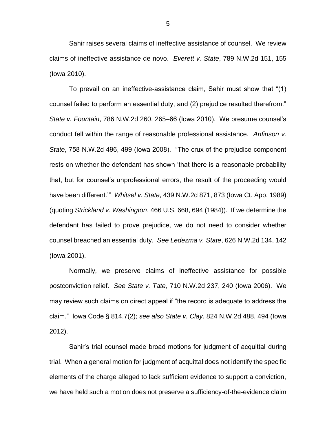Sahir raises several claims of ineffective assistance of counsel. We review claims of ineffective assistance de novo. *Everett v. State*, 789 N.W.2d 151, 155 (Iowa 2010).

To prevail on an ineffective-assistance claim, Sahir must show that "(1) counsel failed to perform an essential duty, and (2) prejudice resulted therefrom." *State v. Fountain*, 786 N.W.2d 260, 265–66 (Iowa 2010). We presume counsel's conduct fell within the range of reasonable professional assistance. *Anfinson v. State*, 758 N.W.2d 496, 499 (Iowa 2008). "The crux of the prejudice component rests on whether the defendant has shown 'that there is a reasonable probability that, but for counsel's unprofessional errors, the result of the proceeding would have been different.'" *Whitsel v. State*, 439 N.W.2d 871, 873 (Iowa Ct. App. 1989) (quoting *Strickland v. Washington*, 466 U.S. 668, 694 (1984)). If we determine the defendant has failed to prove prejudice, we do not need to consider whether counsel breached an essential duty. *See Ledezma v. State*, 626 N.W.2d 134, 142 (Iowa 2001).

Normally, we preserve claims of ineffective assistance for possible postconviction relief. *See State v. Tate*, 710 N.W.2d 237, 240 (Iowa 2006). We may review such claims on direct appeal if "the record is adequate to address the claim." Iowa Code § 814.7(2); *see also State v. Clay*, 824 N.W.2d 488, 494 (Iowa 2012).

Sahir's trial counsel made broad motions for judgment of acquittal during trial. When a general motion for judgment of acquittal does not identify the specific elements of the charge alleged to lack sufficient evidence to support a conviction, we have held such a motion does not preserve a sufficiency-of-the-evidence claim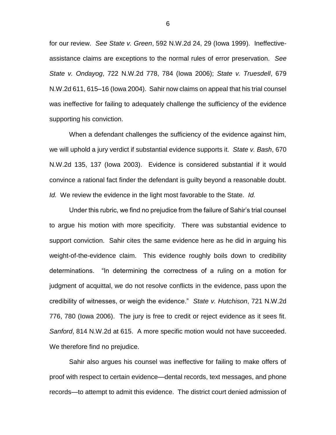for our review. *See State v. Green*, 592 N.W.2d 24, 29 (Iowa 1999). Ineffectiveassistance claims are exceptions to the normal rules of error preservation. *See State v. Ondayog*, 722 N.W.2d 778, 784 (Iowa 2006); *State v. Truesdell*, 679 N.W.2d 611, 615–16 (Iowa 2004). Sahir now claims on appeal that his trial counsel was ineffective for failing to adequately challenge the sufficiency of the evidence supporting his conviction.

When a defendant challenges the sufficiency of the evidence against him, we will uphold a jury verdict if substantial evidence supports it. *State v. Bash*, 670 N.W.2d 135, 137 (Iowa 2003). Evidence is considered substantial if it would convince a rational fact finder the defendant is guilty beyond a reasonable doubt. *Id.* We review the evidence in the light most favorable to the State. *Id.*

Under this rubric, we find no prejudice from the failure of Sahir's trial counsel to argue his motion with more specificity. There was substantial evidence to support conviction. Sahir cites the same evidence here as he did in arguing his weight-of-the-evidence claim. This evidence roughly boils down to credibility determinations. "In determining the correctness of a ruling on a motion for judgment of acquittal, we do not resolve conflicts in the evidence, pass upon the credibility of witnesses, or weigh the evidence." *State v. Hutchison*, 721 N.W.2d 776, 780 (Iowa 2006). The jury is free to credit or reject evidence as it sees fit. *Sanford*, 814 N.W.2d at 615. A more specific motion would not have succeeded. We therefore find no prejudice.

Sahir also argues his counsel was ineffective for failing to make offers of proof with respect to certain evidence—dental records, text messages, and phone records—to attempt to admit this evidence. The district court denied admission of

6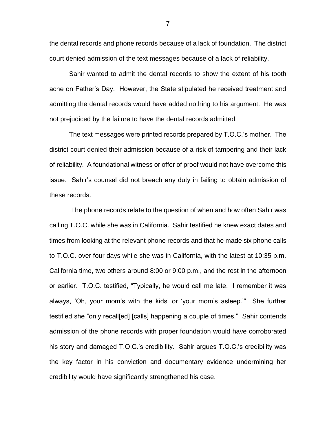the dental records and phone records because of a lack of foundation. The district court denied admission of the text messages because of a lack of reliability.

Sahir wanted to admit the dental records to show the extent of his tooth ache on Father's Day. However, the State stipulated he received treatment and admitting the dental records would have added nothing to his argument. He was not prejudiced by the failure to have the dental records admitted.

The text messages were printed records prepared by T.O.C.'s mother. The district court denied their admission because of a risk of tampering and their lack of reliability. A foundational witness or offer of proof would not have overcome this issue. Sahir's counsel did not breach any duty in failing to obtain admission of these records.

The phone records relate to the question of when and how often Sahir was calling T.O.C. while she was in California. Sahir testified he knew exact dates and times from looking at the relevant phone records and that he made six phone calls to T.O.C. over four days while she was in California, with the latest at 10:35 p.m. California time, two others around 8:00 or 9:00 p.m., and the rest in the afternoon or earlier. T.O.C. testified, "Typically, he would call me late. I remember it was always, 'Oh, your mom's with the kids' or 'your mom's asleep.'" She further testified she "only recall[ed] [calls] happening a couple of times." Sahir contends admission of the phone records with proper foundation would have corroborated his story and damaged T.O.C.'s credibility. Sahir argues T.O.C.'s credibility was the key factor in his conviction and documentary evidence undermining her credibility would have significantly strengthened his case.

7